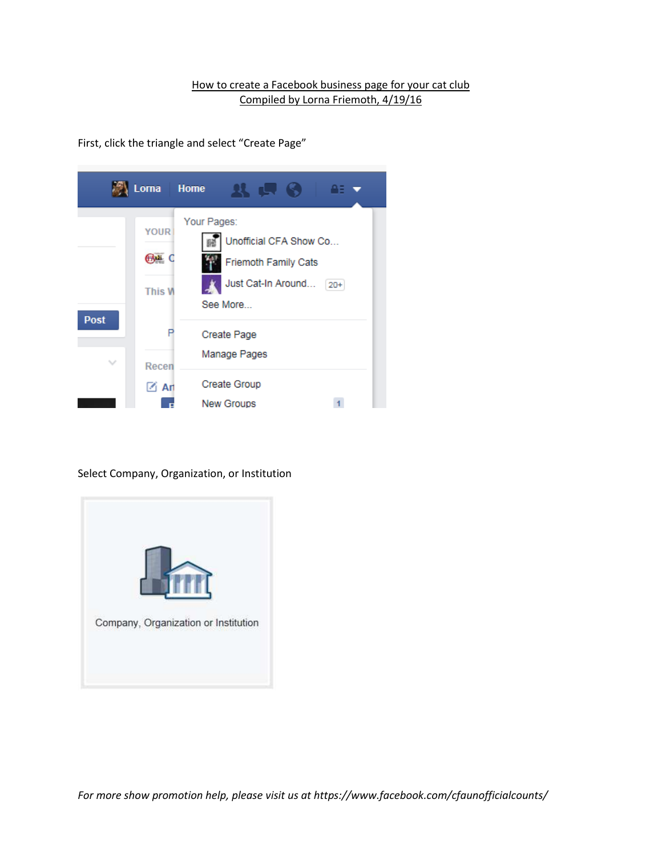## How to create a Facebook business page for your cat club Compiled by Lorna Friemoth, 4/19/16

First, click the triangle and select "Create Page"



## Select Company, Organization, or Institution

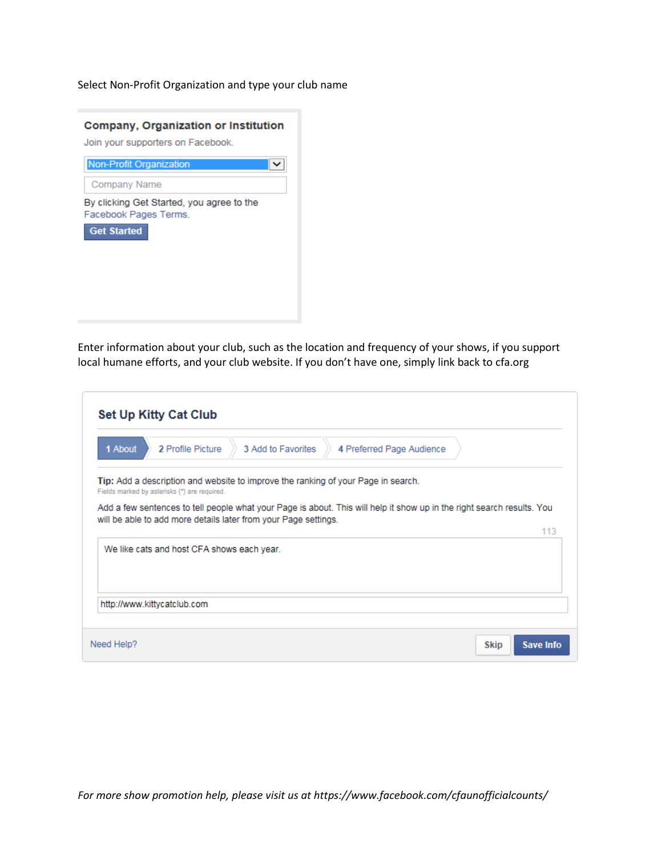Select Non-Profit Organization and type your club name



Enter information about your club, such as the location and frequency of your shows, if you support local humane efforts, and your club website. If you don't have one, simply link back to cfa.org

| Tip: Add a description and website to improve the ranking of your Page in search.<br>Fields marked by asterisks (*) are required.<br>Add a few sentences to tell people what your Page is about. This will help it show up in the right search results. You<br>will be able to add more details later from your Page settings.<br>113<br>We like cats and host CFA shows each year. |
|-------------------------------------------------------------------------------------------------------------------------------------------------------------------------------------------------------------------------------------------------------------------------------------------------------------------------------------------------------------------------------------|
|                                                                                                                                                                                                                                                                                                                                                                                     |
|                                                                                                                                                                                                                                                                                                                                                                                     |
|                                                                                                                                                                                                                                                                                                                                                                                     |
|                                                                                                                                                                                                                                                                                                                                                                                     |
|                                                                                                                                                                                                                                                                                                                                                                                     |
|                                                                                                                                                                                                                                                                                                                                                                                     |
| http://www.kittycatclub.com                                                                                                                                                                                                                                                                                                                                                         |
|                                                                                                                                                                                                                                                                                                                                                                                     |

*For more show promotion help, please visit us at https://www.facebook.com/cfaunofficialcounts/*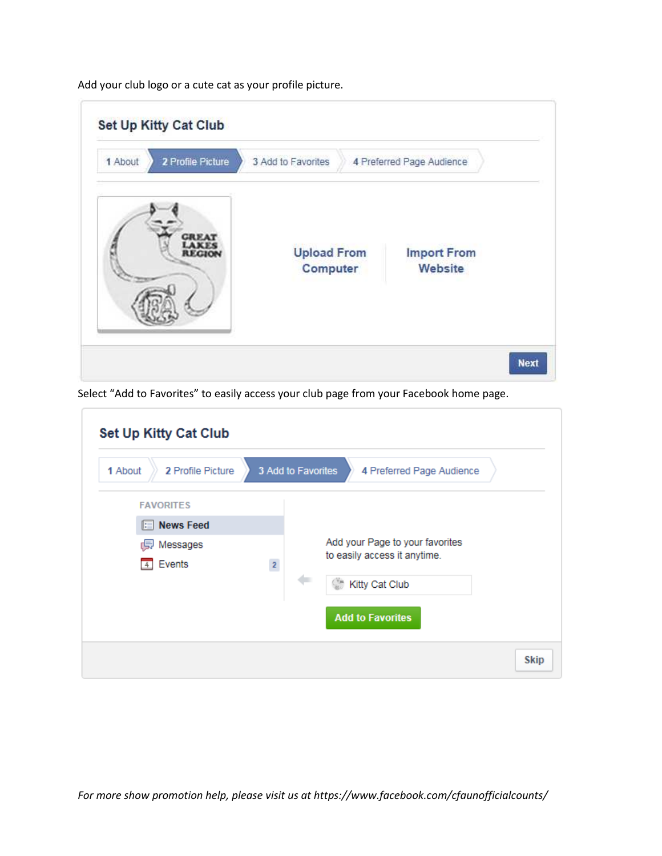Add your club logo or a cute cat as your profile picture.

| 1 About | 2 Profile Picture | 3 Add to Favorites             | 4 Preferred Page Audience     |  |
|---------|-------------------|--------------------------------|-------------------------------|--|
|         | <b>GREA</b>       | <b>Upload From</b><br>Computer | <b>Import From</b><br>Website |  |
|         |                   |                                |                               |  |

| 1 About | 2 Profile Picture |                                                                                                             | 3 Add to Favorites | 4 Preferred Page Audience       |  |
|---------|-------------------|-------------------------------------------------------------------------------------------------------------|--------------------|---------------------------------|--|
|         | <b>FAVORITES</b>  |                                                                                                             |                    |                                 |  |
|         | Rews Feed         |                                                                                                             |                    |                                 |  |
|         | Messages<br>侵     |                                                                                                             |                    | Add your Page to your favorites |  |
|         | Events<br>4       | $\mathbf{2}% =\mathbf{1}_{B}\left( \mathbf{1}_{B}\right) ^{\ast}\mathbf{1}_{B}\left( \mathbf{1}_{B}\right)$ |                    | to easily access it anytime.    |  |
|         |                   |                                                                                                             |                    | Kitty Cat Club                  |  |
|         |                   |                                                                                                             |                    |                                 |  |
|         |                   |                                                                                                             |                    | <b>Add to Favorites</b>         |  |

Select "Add to Favorites" to easily access your club page from your Facebook home page.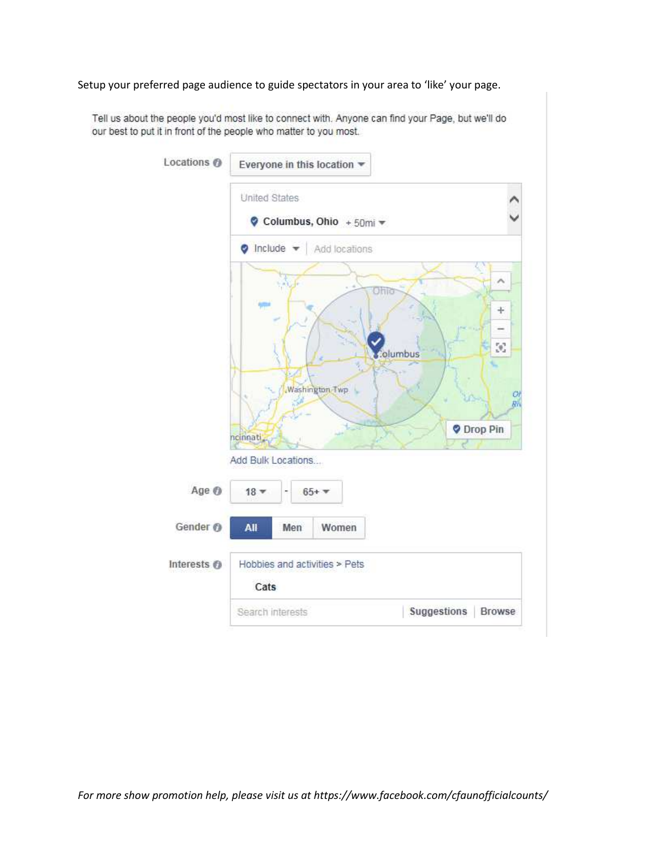## Setup your preferred page audience to guide spectators in your area to 'like' your page.

Tell us about the people you'd most like to connect with. Anyone can find your Page, but we'll do our best to put it in front of the people who matter to you most.

| Locations @ | Everyone in this location =                                                                                                    |
|-------------|--------------------------------------------------------------------------------------------------------------------------------|
|             | United States<br>$\bullet$ Columbus, Ohio + 50mi $\bullet$                                                                     |
|             | $\bullet$ Include $\bullet$   Add locations                                                                                    |
|             | $\mathcal{N}$<br>Ohio<br>÷<br>$\mathcal{P}_\alpha$<br>columbus<br>Washington Twp<br>Ol<br>Rh<br><b>O</b> Drop Pin<br>ncinnati. |
|             | Add Bulk Locations                                                                                                             |
| Age O       | $18 -$<br>$65 + -$                                                                                                             |
| Gender @    | All<br>Men<br>Women                                                                                                            |
| Interests @ | Hobbies and activities > Pets<br>Cats                                                                                          |
|             | Suggestions Browse<br>Search interests                                                                                         |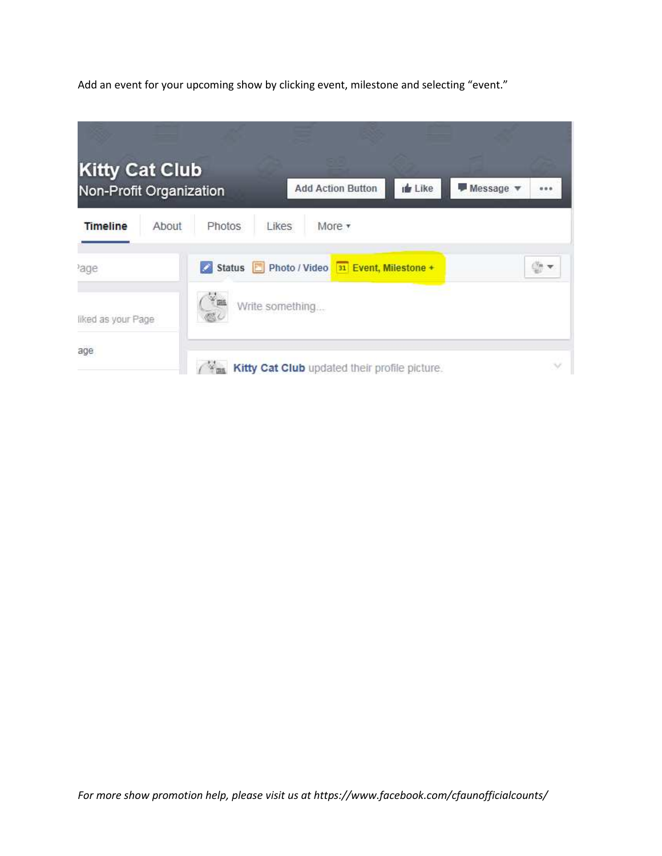Add an event for your upcoming show by clicking event, milestone and selecting "event."

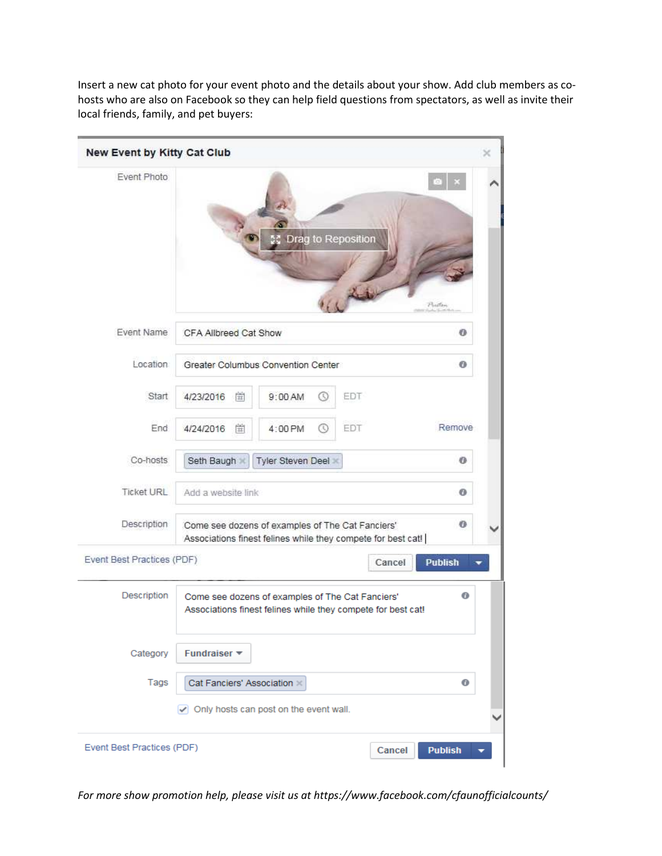| New Event by Kitty Cat Club |                                    |                                                                                                                  |        |                |
|-----------------------------|------------------------------------|------------------------------------------------------------------------------------------------------------------|--------|----------------|
| Event Photo                 |                                    | <b>St</b> Drag to Reposition                                                                                     |        | Phattan        |
| Event Name                  | CFA Allbreed Cat Show              |                                                                                                                  |        | ٥              |
| Location                    |                                    | Greater Columbus Convention Center                                                                               |        | o              |
| Start                       | 歯<br>4/23/2016                     | 9:00AM<br>α                                                                                                      | EDT    |                |
| End                         | 當<br>4/24/2016                     | 4:00 PM<br>O                                                                                                     | EDT    | Remove         |
| Co-hosts                    | Seth Baugh                         | Tyler Steven Deel                                                                                                |        | o              |
| <b>Ticket URL</b>           | Add a website link                 |                                                                                                                  |        | o              |
| Description                 |                                    | Come see dozens of examples of The Cat Fanciers'<br>Associations finest felines while they compete for best cat! |        | o              |
| Event Best Practices (PDF)  |                                    |                                                                                                                  | Cancel | <b>Publish</b> |
| Description                 |                                    | Come see dozens of examples of The Cat Fanciers'<br>Associations finest felines while they compete for best cat! |        | o              |
| Category                    | Fundraiser $\blacktriangledown$    |                                                                                                                  |        |                |
| Tags                        | Cat Fanciers' Association $\times$ |                                                                                                                  |        | 0              |
|                             |                                    | $\triangledown$ Only hosts can post on the event wall.                                                           |        |                |
| Event Best Practices (PDF)  |                                    |                                                                                                                  | Cancel | <b>Publish</b> |

Insert a new cat photo for your event photo and the details about your show. Add club members as cohosts who are also on Facebook so they can help field questions from spectators, as well as invite their local friends, family, and pet buyers:

*For more show promotion help, please visit us at https://www.facebook.com/cfaunofficialcounts/*